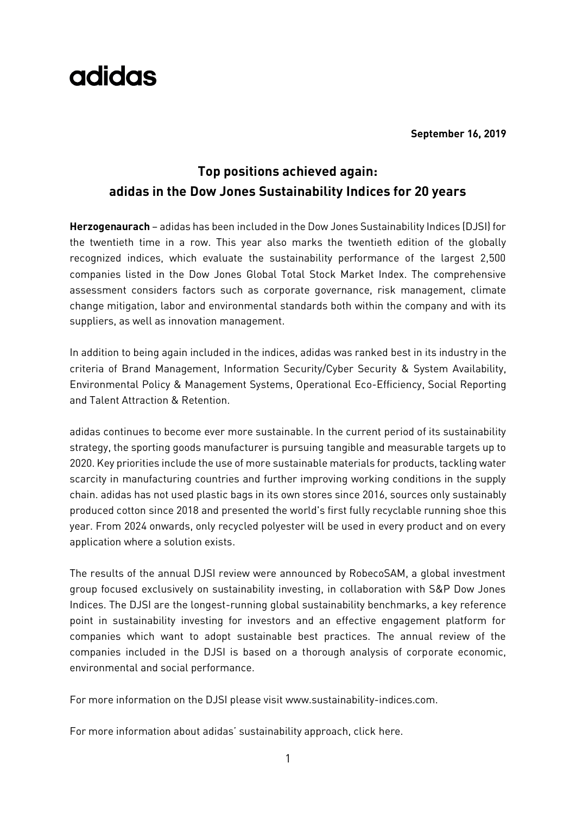# adidas

**September 16, 2019**

### **Top positions achieved again: adidas in the Dow Jones Sustainability Indices for 20 years**

**Herzogenaurach** – adidas has been included in the Dow Jones Sustainability Indices (DJSI) for the twentieth time in a row. This year also marks the twentieth edition of the globally recognized indices, which evaluate the sustainability performance of the largest 2,500 companies listed in the Dow Jones Global Total Stock Market Index. The comprehensive assessment considers factors such as corporate governance, risk management, climate change mitigation, labor and environmental standards both within the company and with its suppliers, as well as innovation management.

In addition to being again included in the indices, adidas was ranked best in its industry in the criteria of Brand Management, Information Security/Cyber Security & System Availability, Environmental Policy & Management Systems, Operational Eco-Efficiency, Social Reporting and Talent Attraction & Retention.

adidas continues to become ever more sustainable. In the current period of its sustainability strategy, the sporting goods manufacturer is pursuing tangible and measurable targets up to 2020. Key priorities include the use of more sustainable materials for products, tackling water scarcity in manufacturing countries and further improving working conditions in the supply chain. adidas has not used plastic bags in its own stores since 2016, sources only sustainably produced cotton since 2018 and presented the world's first fully recyclable running shoe this year. From 2024 onwards, only recycled polyester will be used in every product and on every application where a solution exists.

The results of the annual DJSI review were announced by RobecoSAM, a global investment group focused exclusively on sustainability investing, in collaboration with S&P Dow Jones Indices. The DJSI are the longest-running global sustainability benchmarks, a key reference point in sustainability investing for investors and an effective engagement platform for companies which want to adopt sustainable best practices. The annual review of the companies included in the DJSI is based on a thorough analysis of corporate economic, environmental and social performance.

For more information on the DJSI please visit [www.sustainability-indices.com.](http://www.sustainability-indices.com/)

For more information about adidas' sustainability approach, click [here.](https://www.adidas-group.com/en/sustainability/managing-sustainability/general-approach/)